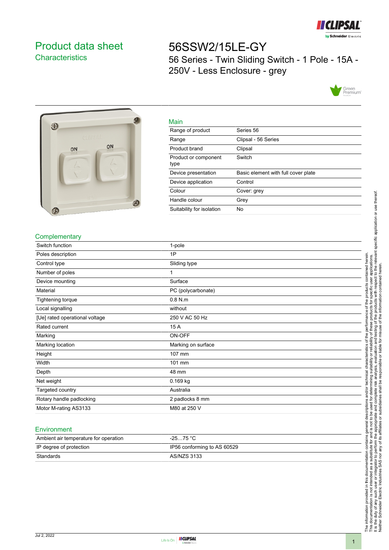

# <span id="page-0-0"></span>Product data sheet **Characteristics**

# 56SSW2/15LE-GY 56 Series - Twin Sliding Switch - 1 Pole - 15A - 250V - Less Enclosure - grey





| iviain                       |                                     |
|------------------------------|-------------------------------------|
| Range of product             | Series 56                           |
| Range                        | Clipsal - 56 Series                 |
| Product brand                | Clipsal                             |
| Product or component<br>type | Switch                              |
| Device presentation          | Basic element with full cover plate |
| Device application           | Control                             |
| Colour                       | Cover: grey                         |
| Handle colour                | Grey                                |
| Suitability for isolation    | No                                  |

## **Complementary**

| Switch function                | 1-pole             |
|--------------------------------|--------------------|
| Poles description              | 1P                 |
| Control type                   | Sliding type       |
| Number of poles                | 1                  |
| Device mounting                | Surface            |
| Material                       | PC (polycarbonate) |
| Tightening torque              | $0.8$ N.m          |
| Local signalling               | without            |
| [Ue] rated operational voltage | 250 V AC 50 Hz     |
| Rated current                  | 15 A               |
| Marking                        | ON-OFF             |
| Marking location               | Marking on surface |
| Height                         | 107 mm             |
| Width                          | 101 mm             |
| Depth                          | 48 mm              |
| Net weight                     | 0.169 kg           |
| Targeted country               | Australia          |
| Rotary handle padlocking       | 2 padlocks 8 mm    |
| Motor M-rating AS3133          | M80 at 250 V       |

Main

#### **Environment**

| Ambient air temperature for operation | -25…75 °C                   |
|---------------------------------------|-----------------------------|
| IP degree of protection               | IP56 conforming to AS 60529 |
| Standards                             | AS/NZS 3133                 |